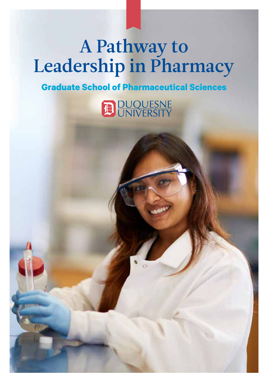# A Pathway to Leadership in Pharmacy

# **Graduate School of Pharmaceutical Sciences**

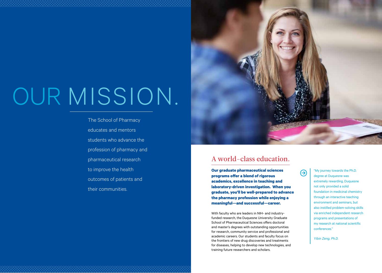# OUR MISSION.

The School of Pharmacy educates and mentors students who advance the profession of pharmacy and pharmaceutical research to improve the health outcomes of patients and their communities.



## A world-class education.

**Our graduate pharmaceutical sciences programs offer a blend of rigorous academics, excellence in teaching and laboratory-driven investigation. When you graduate, you'll be well-prepared to advance the pharmacy profession while enjoying a meaningful—and successful—career.**

With faculty who are leaders in NIH- and industryfunded research, the Duquesne University Graduate School of Pharmaceutical Sciences offers doctoral and master's degrees with outstanding opportunities for research, community service and professional and academic careers. Our students and faculty focus on the frontiers of new drug discoveries and treatments for diseases, helping to develop new technologies, and training future researchers and scholars.

"My journey towards the Ph.D. degree at Duquesne was extremely rewarding. Duquesne not only provided a solid foundation in medicinal chemistry through an interactive teaching environment and seminars, but also instilled problem-solving skills via enriched independent research programs and presentations of my research at national scientific conferences."

*Yibin Zeng, Ph.D.*

 $\bm{\Theta}$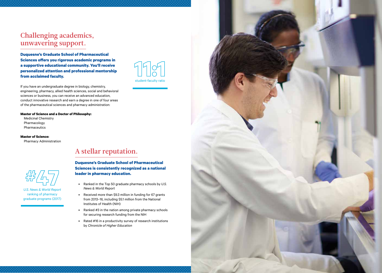### Challenging academics, unwavering support.

**Duquesne's Graduate School of Pharmaceutical Sciences offers you rigorous academic programs in a supportive educational community. You'll receive personalized attention and professional mentorship from acclaimed faculty.** 

If you have an undergraduate degree in biology, chemistry, engineering, pharmacy, allied health sciences, social and behavioral sciences or business, you can receive an advanced education, conduct innovative research and earn a degree in one of four areas of the pharmaceutical sciences and pharmacy administration:

#### **Master of Science and a Doctor of Philosophy:**

Medicinal Chemistry Pharmacology Pharmaceutics

### **Master of Science:**

Pharmacy Administration



*U.S. News & World Report*  ranking of pharmacy graduate programs (2017)



### A stellar reputation.

**Duquesne's Graduate School of Pharmaceutical Sciences is consistently recognized as a national leader in pharmacy education.** 

- Ranked in the Top 50 graduate pharmacy schools by *U.S. News & World Report*
- Received more than \$9.3 million in funding for 67 grants from 2013–16, including \$5.1 million from the National Institutes of Health (NIH)
- Ranked #3 in the nation among private pharmacy schools for securing research funding from the NIH
- Rated #16 in a productivity survey of research institutions by *Chronicle of Higher Education*

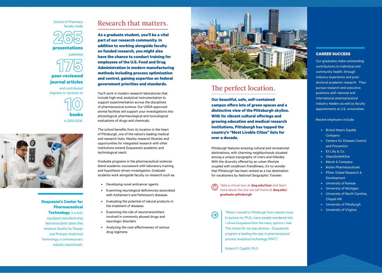



published

# **peer-reviewed journal articles**

and contributed chapters or sections to





**Duquesne's Center for Pharmaceutical Technology** is a fully equipped manufacturing laboratory/pilot plant that employs Quality by Design and Process Analytical Technology, a contemporary industry benchmark.

### Research that matters.

**As a graduate student, you'll be a vital part of our research community. In addition to working alongside faculty on funded research, you might also have the chance to conduct training for employees of the U.S. Food and Drug Administration in modern manufacturing methods including process optimization and control, gaining expertise on federal government priorities and standards.**

You'll work in modern research laboratories that include high-end, analytical instrumentation to support experimentation across the disciplines of pharmaceutical science. Our USDA-approved animal facilities will support your investigations into physiological, pharmacological and toxicological evaluations of drugs and chemicals.

The school benefits from its location in the heart of Pittsburgh, one of the nation's leading medical and research hubs. Nearby research libraries and opportunities for integrated research with other institutions extend Duquesne's academic and technological reach.

Graduate programs in the pharmaceutical sciences blend academic coursework with laboratory training and hypothesis-driven investigation. Graduate students work alongside faculty on research such as:

- Developing novel anticancer agents
- Examining neurological deficiencies associated with Alzheimer's and Parkinson's diseases
- Evaluating the potential of natural products in the treatment of diseases
- Examining the role of neurotransmitters involved in commonly abused drugs and neurologic disorders
- Analyzing the cost-effectiveness of various drug regimens



## The perfect location.

**Our beautiful, safe, self-contained campus offers lots of green spaces and a distinctive view of the Pittsburgh skyline. With its vibrant cultural offerings and growing education and medical research institutions, Pittsburgh has topped the country's "Most Livable Cities" lists for over a decade.**

Pittsburgh features amazing cultural and recreational destinations, with charming neighborhoods situated among a unique topography of rivers and hillsides. With the diversity offered by an urban lifestyle coupled with smalltown friendliness, it's no wonder that Pittsburgh has been ranked as a top destination for vacationers by *National Geographic Traveler* .

Take a virtual tour at **duq.edu/tour** and learn more about the city we call home at **duq.edu/ graduate-pittsburgh**



• University of Virginia "When I moved to Pittsburgh from western Iowa to pursue my Ph.D., many people wondered why I chose Duquesne from the many options I had. The choice for me was obvious—Duquesne's program is leading the way in pharmaceutical process analytical technology (PAT)."

*Robert P. Cogdill, Ph.D.*

### **CAREER SUCCESS**

Our graduates make outstanding contributions to individual and community health, through industry experience and postdoctoral academic research. They pursue research and executive positions with national and international pharmaceutical industry leaders as well as faculty appointments at U.S. universities.

#### Recent employers include:

- Bristol Myers Squibb Company
- Centers for Disease Control and Prevention
- Eli Lilly & Co.
- GlaxoSmithKline
- Merck & Company
- Mylan Pharmaceuticals
- Pfizer Global Research & Development
- University of Kansas
- University of Michigan
- University of North Carolina, Chapel Hill
- University of Pittsburgh
-